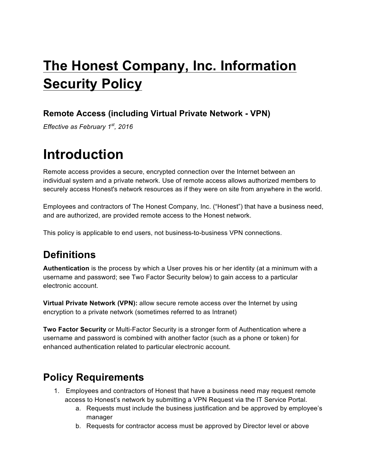# **The Honest Company, Inc. Information Security Policy**

#### **Remote Access (including Virtual Private Network - VPN)**

*Effective as February 1st, 2016*

### **Introduction**

Remote access provides a secure, encrypted connection over the Internet between an individual system and a private network. Use of remote access allows authorized members to securely access Honest's network resources as if they were on site from anywhere in the world.

Employees and contractors of The Honest Company, Inc. ("Honest") that have a business need, and are authorized, are provided remote access to the Honest network.

This policy is applicable to end users, not business-to-business VPN connections.

### **Definitions**

**Authentication** is the process by which a User proves his or her identity (at a minimum with a username and password; see Two Factor Security below) to gain access to a particular electronic account.

**Virtual Private Network (VPN):** allow secure remote access over the Internet by using encryption to a private network (sometimes referred to as Intranet)

**Two Factor Security** or Multi-Factor Security is a stronger form of Authentication where a username and password is combined with another factor (such as a phone or token) for enhanced authentication related to particular electronic account.

#### **Policy Requirements**

- 1. Employees and contractors of Honest that have a business need may request remote access to Honest's network by submitting a VPN Request via the IT Service Portal.
	- a. Requests must include the business justification and be approved by employee's manager
	- b. Requests for contractor access must be approved by Director level or above